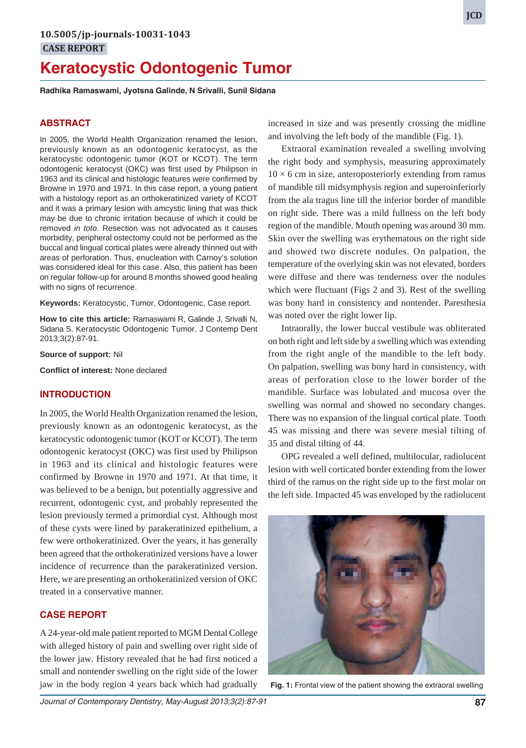# **Keratocystic Odontogenic Tumor**

**Radhika Ramaswami, Jyotsna Galinde, N Srivalli, Sunil Sidana**

#### **ABSTRACT**

In 2005, the World Health Organization renamed the lesion, previously known as an odontogenic keratocyst, as the keratocystic odontogenic tumor (KOT or KCOT). The term odontogenic keratocyst (OKC) was first used by Philipson in 1963 and its clinical and histologic features were confirmed by Browne in 1970 and 1971. In this case report, a young patient with a histology report as an orthokeratinized variety of KCOT and it was a primary lesion with amcystic lining that was thick may be due to chronic irritation because of which it could be removed *in toto*. Resection was not advocated as it causes morbidity, peripheral ostectomy could not be performed as the buccal and lingual cortical plates were already thinned out with areas of perforation. Thus, enucleation with Carnoy's solution was considered ideal for this case. Also, this patient has been on regular follow-up for around 8 months showed good healing with no signs of recurrence.

**Keywords:** Keratocystic, Tumor, Odontogenic, Case report.

**How to cite this article:** Ramaswami R, Galinde J, Srivalli N, Sidana S. Keratocystic Odontogenic Tumor. J Contemp Dent 2013;3(2):87-91.

**Source of support:** Nil

**Conflict of interest:** None declared

#### **INTRODUCTION**

In 2005, the World Health Organization renamed the lesion, previously known as an odontogenic keratocyst, as the keratocystic odontogenic tumor (KOT or KCOT). The term odontogenic keratocyst (OKC) was first used by Philipson in 1963 and its clinical and histologic features were confirmed by Browne in 1970 and 1971. At that time, it was believed to be a benign, but potentially aggressive and recurrent, odontogenic cyst, and probably represented the lesion previously termed a primordial cyst. Although most of these cysts were lined by parakeratinized epithelium, a few were orthokeratinized. Over the years, it has generally been agreed that the orthokeratinized versions have a lower incidence of recurrence than the parakeratinized version. Here, we are presenting an orthokeratinized version of OKC treated in a conservative manner.

## **CASE REPORT**

A 24-year-old male patient reported to MGM Dental College with alleged history of pain and swelling over right side of the lower jaw. History revealed that he had first noticed a small and nontender swelling on the right side of the lower jaw in the body region 4 years back which had gradually

increased in size and was presently crossing the midline and involving the left body of the mandible (Fig. 1).

Extraoral examination revealed a swelling involving the right body and symphysis, measuring approximately  $10 \times 6$  cm in size, anteroposteriorly extending from ramus of mandible till midsymphysis region and superoinferiorly from the ala tragus line till the inferior border of mandible on right side. There was a mild fullness on the left body region of the mandible. Mouth opening was around 30 mm. Skin over the swelling was erythematous on the right side and showed two discrete nodules. On palpation, the temperature of the overlying skin was not elevated, borders were diffuse and there was tenderness over the nodules which were fluctuant (Figs 2 and 3). Rest of the swelling was bony hard in consistency and nontender. Paresthesia was noted over the right lower lip.

Intraorally, the lower buccal vestibule was obliterated on both right and left side by a swelling which was extending from the right angle of the mandible to the left body. On palpation, swelling was bony hard in consistency, with areas of perforation close to the lower border of the mandible. Surface was lobulated and mucosa over the swelling was normal and showed no secondary changes. There was no expansion of the lingual cortical plate. Tooth 45 was missing and there was severe mesial tilting of 35 and distal tilting of 44.

OPG revealed a well defined, multilocular, radiolucent lesion with well corticated border extending from the lower third of the ramus on the right side up to the first molar on the left side. Impacted 45 was enveloped by the radiolucent



**Fig. 1:** Frontal view of the patient showing the extraoral swelling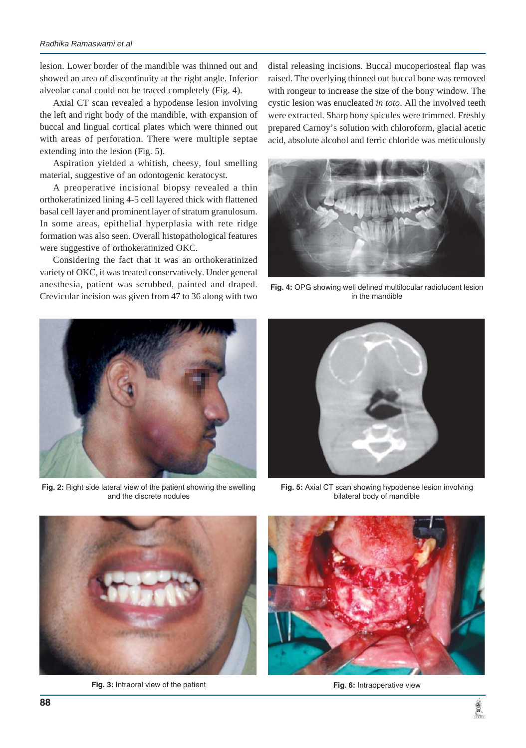lesion. Lower border of the mandible was thinned out and showed an area of discontinuity at the right angle. Inferior alveolar canal could not be traced completely (Fig. 4).

Axial CT scan revealed a hypodense lesion involving the left and right body of the mandible, with expansion of buccal and lingual cortical plates which were thinned out with areas of perforation. There were multiple septae extending into the lesion (Fig. 5).

Aspiration yielded a whitish, cheesy, foul smelling material, suggestive of an odontogenic keratocyst.

A preoperative incisional biopsy revealed a thin orthokeratinized lining 4-5 cell layered thick with flattened basal cell layer and prominent layer of stratum granulosum. In some areas, epithelial hyperplasia with rete ridge formation was also seen. Overall histopathological features were suggestive of orthokeratinized OKC.

Considering the fact that it was an orthokeratinized variety of OKC, it was treated conservatively. Under general anesthesia, patient was scrubbed, painted and draped. Crevicular incision was given from 47 to 36 along with two



**Fig. 2:** Right side lateral view of the patient showing the swelling and the discrete nodules

distal releasing incisions. Buccal mucoperiosteal flap was raised. The overlying thinned out buccal bone was removed with rongeur to increase the size of the bony window. The cystic lesion was enucleated *in toto*. All the involved teeth were extracted. Sharp bony spicules were trimmed. Freshly prepared Carnoy's solution with chloroform, glacial acetic acid, absolute alcohol and ferric chloride was meticulously



**Fig. 4:** OPG showing well defined multilocular radiolucent lesion in the mandible



**Fig. 5:** Axial CT scan showing hypodense lesion involving bilateral body of mandible



**Fig. 3:** Intraoral view of the patient



**Fig. 6:** Intraoperative view

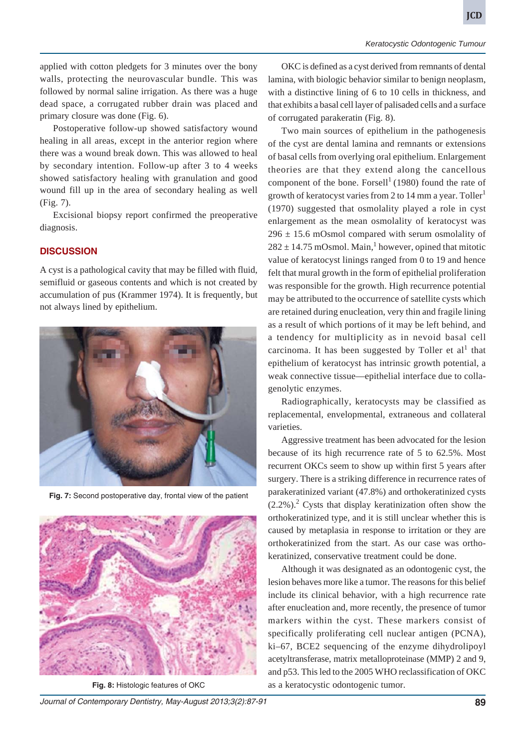applied with cotton pledgets for 3 minutes over the bony walls, protecting the neurovascular bundle. This was followed by normal saline irrigation. As there was a huge dead space, a corrugated rubber drain was placed and primary closure was done (Fig. 6).

Postoperative follow-up showed satisfactory wound healing in all areas, except in the anterior region where there was a wound break down. This was allowed to heal by secondary intention. Follow-up after 3 to 4 weeks showed satisfactory healing with granulation and good wound fill up in the area of secondary healing as well (Fig. 7).

Excisional biopsy report confirmed the preoperative diagnosis.

## **DISCUSSION**

A cyst is a pathological cavity that may be filled with fluid, semifluid or gaseous contents and which is not created by accumulation of pus (Krammer 1974). It is frequently, but not always lined by epithelium.



**Fig. 7:** Second postoperative day, frontal view of the patient



**Fig. 8:** Histologic features of OKC

OKC is defined as a cyst derived from remnants of dental lamina, with biologic behavior similar to benign neoplasm, with a distinctive lining of 6 to 10 cells in thickness, and that exhibits a basal cell layer of palisaded cells and a surface of corrugated parakeratin (Fig. 8).

Two main sources of epithelium in the pathogenesis of the cyst are dental lamina and remnants or extensions of basal cells from overlying oral epithelium. Enlargement theories are that they extend along the cancellous component of the bone. Forsell<sup>1</sup> (1980) found the rate of growth of keratocyst varies from 2 to 14 mm a year. Toller<sup>1</sup> (1970) suggested that osmolality played a role in cyst enlargement as the mean osmolality of keratocyst was  $296 \pm 15.6$  mOsmol compared with serum osmolality of  $282 \pm 14.75$  mOsmol. Main,<sup>1</sup> however, opined that mitotic value of keratocyst linings ranged from 0 to 19 and hence felt that mural growth in the form of epithelial proliferation was responsible for the growth. High recurrence potential may be attributed to the occurrence of satellite cysts which are retained during enucleation, very thin and fragile lining as a result of which portions of it may be left behind, and a tendency for multiplicity as in nevoid basal cell carcinoma. It has been suggested by Toller et al<sup>1</sup> that epithelium of keratocyst has intrinsic growth potential, a weak connective tissue—epithelial interface due to collagenolytic enzymes.

Radiographically, keratocysts may be classified as replacemental, envelopmental, extraneous and collateral varieties.

Aggressive treatment has been advocated for the lesion because of its high recurrence rate of 5 to 62.5%. Most recurrent OKCs seem to show up within first 5 years after surgery. There is a striking difference in recurrence rates of parakeratinized variant (47.8%) and orthokeratinized cysts  $(2.2\%)$ .<sup>2</sup> Cysts that display keratinization often show the orthokeratinized type, and it is still unclear whether this is caused by metaplasia in response to irritation or they are orthokeratinized from the start. As our case was orthokeratinized, conservative treatment could be done.

Although it was designated as an odontogenic cyst, the lesion behaves more like a tumor. The reasons for this belief include its clinical behavior, with a high recurrence rate after enucleation and, more recently, the presence of tumor markers within the cyst. These markers consist of specifically proliferating cell nuclear antigen (PCNA), ki–67, BCE2 sequencing of the enzyme dihydrolipoyl acetyltransferase, matrix metalloproteinase (MMP) 2 and 9, and p53. This led to the 2005 WHO reclassification of OKC as a keratocystic odontogenic tumor.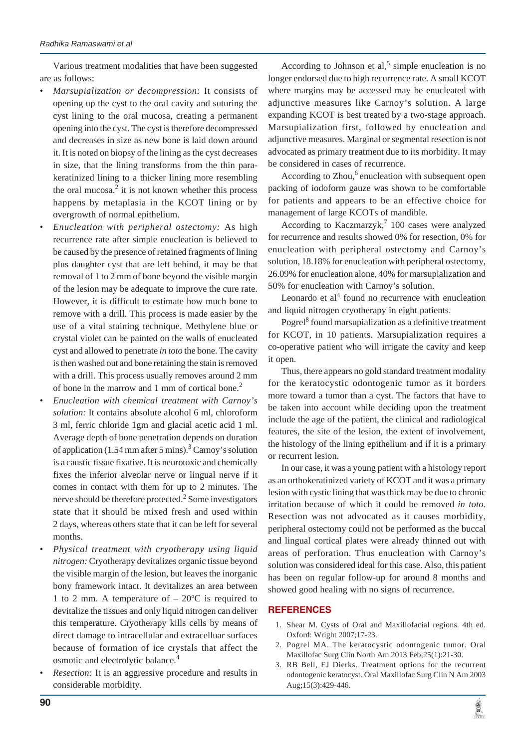Various treatment modalities that have been suggested are as follows:

- *Marsupialization or decompression:* It consists of opening up the cyst to the oral cavity and suturing the cyst lining to the oral mucosa, creating a permanent opening into the cyst. The cyst is therefore decompressed and decreases in size as new bone is laid down around it. It is noted on biopsy of the lining as the cyst decreases in size, that the lining transforms from the thin parakeratinized lining to a thicker lining more resembling the oral mucosa. $2$  it is not known whether this process happens by metaplasia in the KCOT lining or by overgrowth of normal epithelium.
- *Enucleation with peripheral ostectomy:* As high recurrence rate after simple enucleation is believed to be caused by the presence of retained fragments of lining plus daughter cyst that are left behind, it may be that removal of 1 to 2 mm of bone beyond the visible margin of the lesion may be adequate to improve the cure rate. However, it is difficult to estimate how much bone to remove with a drill. This process is made easier by the use of a vital staining technique. Methylene blue or crystal violet can be painted on the walls of enucleated cyst and allowed to penetrate *in toto* the bone. The cavity is then washed out and bone retaining the stain is removed with a drill. This process usually removes around 2 mm of bone in the marrow and 1 mm of cortical bone.<sup>2</sup>
- *Enucleation with chemical treatment with Carnoy's solution:* It contains absolute alcohol 6 ml, chloroform 3 ml, ferric chloride 1gm and glacial acetic acid 1 ml. Average depth of bone penetration depends on duration of application (1.54 mm after 5 mins).<sup>3</sup> Carnoy's solution is a caustic tissue fixative. It is neurotoxic and chemically fixes the inferior alveolar nerve or lingual nerve if it comes in contact with them for up to 2 minutes. The nerve should be therefore protected. $^{2}$  Some investigators state that it should be mixed fresh and used within 2 days, whereas others state that it can be left for several months.
- *Physical treatment with cryotherapy using liquid nitrogen:* Cryotherapy devitalizes organic tissue beyond the visible margin of the lesion, but leaves the inorganic bony framework intact. It devitalizes an area between 1 to 2 mm. A temperature of  $-20^{\circ}$ C is required to devitalize the tissues and only liquid nitrogen can deliver this temperature. Cryotherapy kills cells by means of direct damage to intracellular and extracelluar surfaces because of formation of ice crystals that affect the osmotic and electrolytic balance.4
- *Resection:* It is an aggressive procedure and results in considerable morbidity.

According to Johnson et al,<sup>5</sup> simple enucleation is no longer endorsed due to high recurrence rate. A small KCOT where margins may be accessed may be enucleated with adjunctive measures like Carnoy's solution. A large expanding KCOT is best treated by a two-stage approach. Marsupialization first, followed by enucleation and adjunctive measures. Marginal or segmental resection is not advocated as primary treatment due to its morbidity. It may be considered in cases of recurrence.

According to Zhou,<sup>6</sup> enucleation with subsequent open packing of iodoform gauze was shown to be comfortable for patients and appears to be an effective choice for management of large KCOTs of mandible.

According to Kaczmarzyk,<sup>7</sup> 100 cases were analyzed for recurrence and results showed 0% for resection, 0% for enucleation with peripheral ostectomy and Carnoy's solution, 18.18% for enucleation with peripheral ostectomy, 26.09% for enucleation alone, 40% for marsupialization and 50% for enucleation with Carnoy's solution.

Leonardo et  $al<sup>4</sup>$  found no recurrence with enucleation and liquid nitrogen cryotherapy in eight patients.

Pogrel<sup>8</sup> found marsupialization as a definitive treatment for KCOT, in 10 patients. Marsupialization requires a co-operative patient who will irrigate the cavity and keep it open.

Thus, there appears no gold standard treatment modality for the keratocystic odontogenic tumor as it borders more toward a tumor than a cyst. The factors that have to be taken into account while deciding upon the treatment include the age of the patient, the clinical and radiological features, the site of the lesion, the extent of involvement, the histology of the lining epithelium and if it is a primary or recurrent lesion.

In our case, it was a young patient with a histology report as an orthokeratinized variety of KCOT and it was a primary lesion with cystic lining that was thick may be due to chronic irritation because of which it could be removed *in toto*. Resection was not advocated as it causes morbidity, peripheral ostectomy could not be performed as the buccal and lingual cortical plates were already thinned out with areas of perforation. Thus enucleation with Carnoy's solution was considered ideal for this case. Also, this patient has been on regular follow-up for around 8 months and showed good healing with no signs of recurrence.

## **REFERENCES**

- 1. Shear M. Cysts of Oral and Maxillofacial regions. 4th ed. Oxford: Wright 2007;17-23.
- 2. Pogrel MA. The keratocystic odontogenic tumor. Oral Maxillofac Surg Clin North Am 2013 Feb;25(1):21-30.
- 3. RB Bell, EJ Dierks. Treatment options for the recurrent odontogenic keratocyst. Oral Maxillofac Surg Clin N Am 2003 Aug;15(3):429-446.